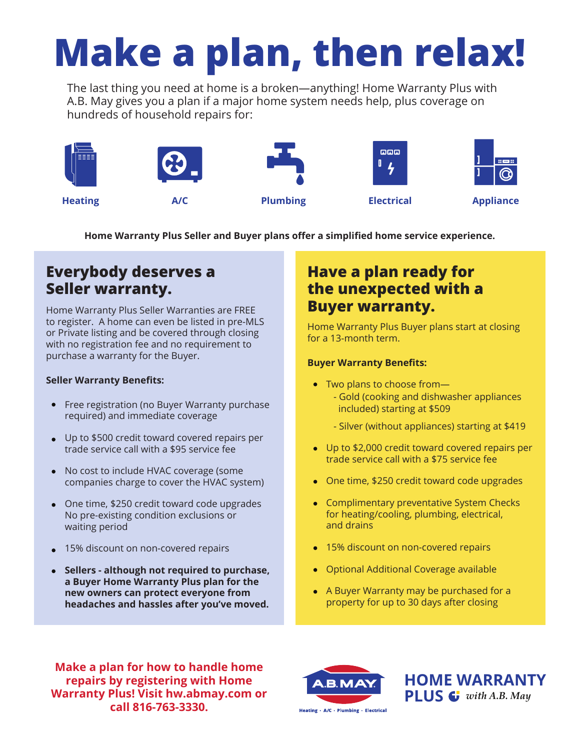# **Make a plan, then relax!**

The last thing you need at home is a broken—anything! Home Warranty Plus with A.B. May gives you a plan if a major home system needs help, plus coverage on hundreds of household repairs for:



**Home Warranty Plus Seller and Buyer plans offer a simplified home service experience.**

## **Everybody deserves a Seller warranty.**

Home Warranty Plus Seller Warranties are FREE to register. A home can even be listed in pre-MLS or Private listing and be covered through closing with no registration fee and no requirement to purchase a warranty for the Buyer.

#### **Seller Warranty Benefits:**

- Free registration (no Buyer Warranty purchase required) and immediate coverage
- Up to \$500 credit toward covered repairs per trade service call with a \$95 service fee
- No cost to include HVAC coverage (some companies charge to cover the HVAC system)
- One time, \$250 credit toward code upgrades No pre-existing condition exclusions or waiting period
- 15% discount on non-covered repairs
- **Sellers although not required to purchase, a Buyer Home Warranty Plus plan for the new owners can protect everyone from headaches and hassles after you've moved.**

**Make a plan for how to handle home repairs by registering with Home Warranty Plus! Visit hw.abmay.com or call 816-763-3330.**

### **Have a plan ready for the unexpected with a Buyer warranty.**

Home Warranty Plus Buyer plans start at closing for a 13-month term.

#### **Buyer Warranty Benefits:**

- Two plans to choose from-
	- Gold (cooking and dishwasher appliances included) starting at \$509
	- Silver (without appliances) starting at \$419
- Up to \$2,000 credit toward covered repairs per trade service call with a \$75 service fee
- One time, \$250 credit toward code upgrades
- **Complimentary preventative System Checks** for heating/cooling, plumbing, electrical, and drains
- 15% discount on non-covered repairs
- Optional Additional Coverage available
- A Buyer Warranty may be purchased for a property for up to 30 days after closing